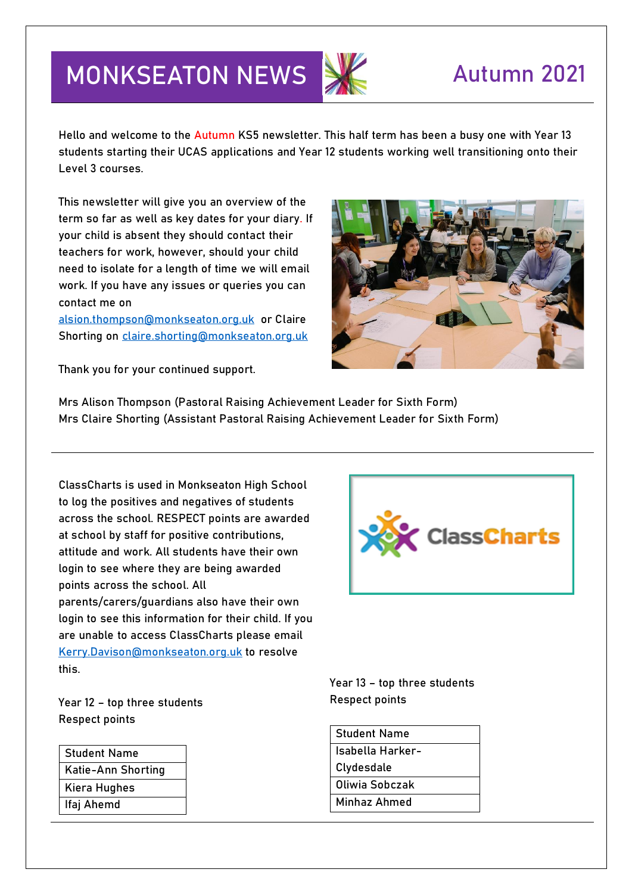## **MONKSEATON NEWS SALE AUTUMN 2021**

Hello and welcome to the Autumn KS5 newsletter. This half term has been a busy one with Year 13 students starting their UCAS applications and Year 12 students working well transitioning onto their Level 3 courses.

This newsletter will give you an overview of the term so far as well as key dates for your diary. If your child is absent they should contact their teachers for work, however, should your child need to isolate for a length of time we will email work. If you have any issues or queries you can contact me on

[alsion.thompson@monkseaton.org.uk](mailto:alsion.thompson@monkseaton.org.uk) or Claire Shorting on [claire.shorting@monkseaton.org.uk](mailto:claire.shorting@monkseaton.org.uk)

Thank you for your continued support.



**Mrs Alison Thompson (Pastoral Raising Achievement Leader for Sixth Form) Mrs Claire Shorting (Assistant Pastoral Raising Achievement Leader for Sixth Form)**

ClassCharts is used in Monkseaton High School to log the positives and negatives of students across the school. RESPECT points are awarded at school by staff for positive contributions, attitude and work. All students have their own login to see where they are being awarded points across the school. All parents/carers/guardians also have their own login to see this information for their child. If you are unable to access ClassCharts please email [Kerry.Davison@monkseaton.org.uk](mailto:Kerry.Davison@monkseaton.org.uk) to resolve this.

**Year 12 – top three students Respect points**

| Student Name       |
|--------------------|
| Katie-Ann Shorting |
| Kiera Hughes       |
| lfaj Ahemd         |
|                    |



**Year 13 – top three students Respect points**

| <b>Student Name</b> |
|---------------------|
| Isabella Harker-    |
| Clydesdale          |
| Oliwia Sobczak      |
| Minhaz Ahmed        |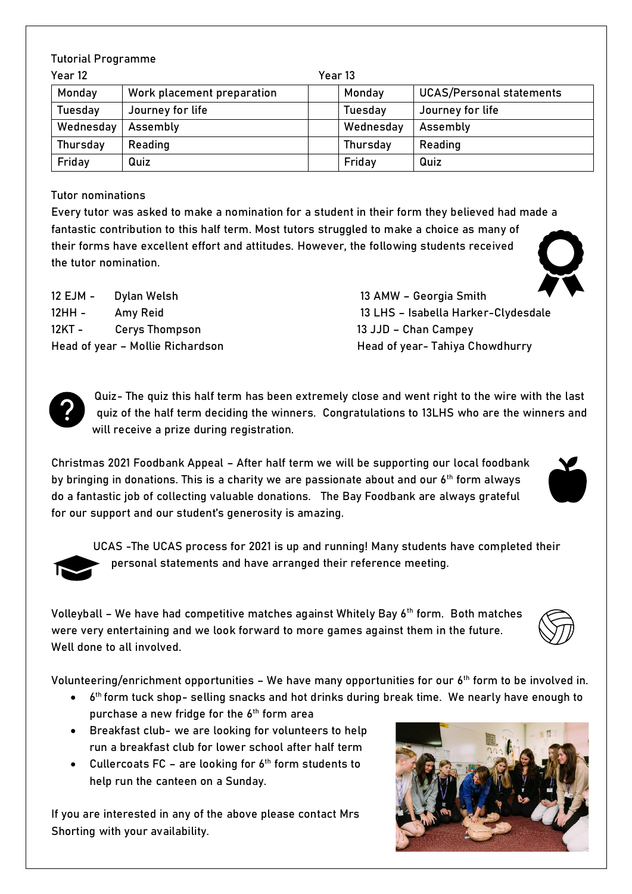|  | <b>Tutorial Programme</b> |
|--|---------------------------|
|--|---------------------------|

| Year 12         | Year 13                    |  |                 |                                 |
|-----------------|----------------------------|--|-----------------|---------------------------------|
| Monday          | Work placement preparation |  | Monday          | <b>UCAS/Personal statements</b> |
| Tuesday         | Journey for life           |  | Tuesday         | Journey for life                |
| Wednesday       | Assembly                   |  | Wednesday       | Assembly                        |
| <b>Thursday</b> | Reading                    |  | <b>Thursday</b> | Reading                         |
| Friday          | Quiz                       |  | Friday          | Quiz                            |

**Tutor nominations**

Every tutor was asked to make a nomination for a student in their form they believed had made a fantastic contribution to this half term. Most tutors struggled to make a choice as many of their forms have excellent effort and attitudes. However, the following students received the tutor nomination.

12 EJM - Dylan Welsh 13 AMW – Georgia Smith 12KT - Cerys Thompson 13 JJD – Chan Campey

12HH - Amy Reid 13 LHS – Isabella Harker-Clydesdale Head of year - Mollie Richardson Head of year- Tahiya Chowdhurry



**Quiz**- The quiz this half term has been extremely close and went right to the wire with the last quiz of the half term deciding the winners. Congratulations to **13LHS** who are the winners and will receive a prize during registration.

**Christmas 2021 Foodbank Appeal –** After half term we will be supporting our local foodbank by bringing in donations. This is a charity we are passionate about and our 6<sup>th</sup> form always do a fantastic job of collecting valuable donations. The Bay Foodbank are always grateful for our support and our student's generosity is amazing.



**UCAS -**The UCAS process for 2021 is up and running! Many students have completed their personal statements and have arranged their reference meeting.

**Volleyball –** We have had competitive matches against Whitely Bay 6th form. Both matches were very entertaining and we look forward to more games against them in the future. Well done to all involved.

**Volunteering/enrichment opportunities** – We have many opportunities for our 6th form to be involved in.

- 6<sup>th</sup> form tuck shop- selling snacks and hot drinks during break time. We nearly have enough to purchase a new fridge for the 6<sup>th</sup> form area
- Breakfast club- we are looking for volunteers to help run a breakfast club for lower school after half term
- Cullercoats FC are looking for  $6<sup>th</sup>$  form students to help run the canteen on a Sunday.

If you are interested in any of the above please contact Mrs Shorting with your availability.